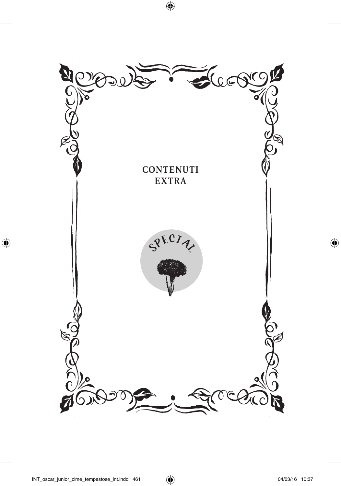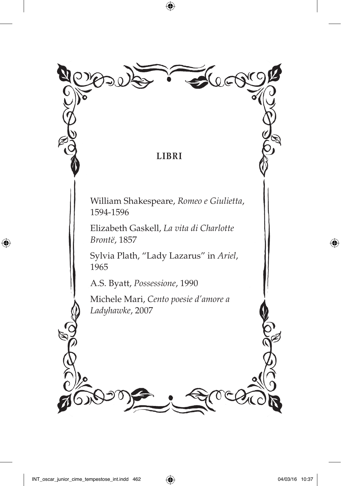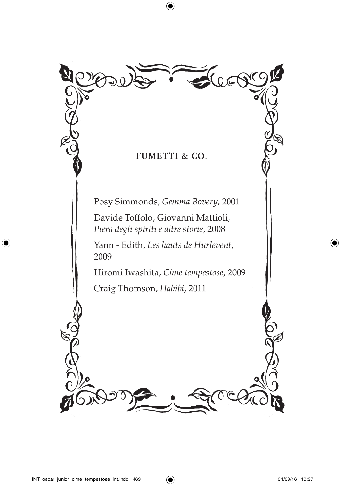

Posy Simmonds, *Gemma Bovery*, 2001

 Davide Toffolo, Giovanni Mattioli, *Piera degli spiriti e altre storie*, 2008

 Yann - Edith, *Les hauts de Hurlevent*, 2009

Hiromi Iwashita, *Cime tempestose*, 2009

Craig Thomson, *Habibi*, 2011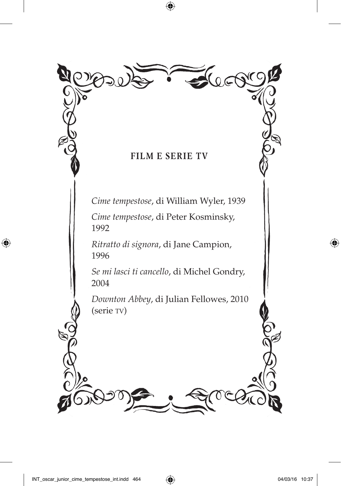

*Cime tempestose*, di William Wyler, 1939

 *Cime tempestose*, di Peter Kosminsky, 1992

 *Ritratto di signora*, di Jane Campion, 1996

 *Se mi lasci ti cancello*, di Michel Gondry, 2004

 *Downton Abbey*, di Julian Fellowes, 2010 (serie TV)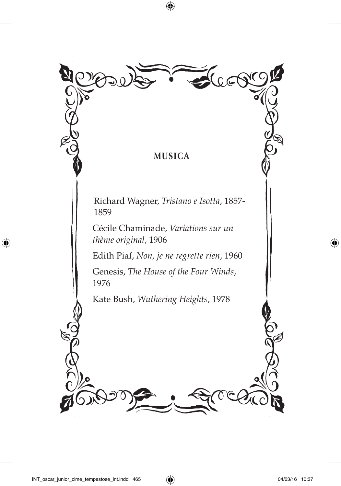